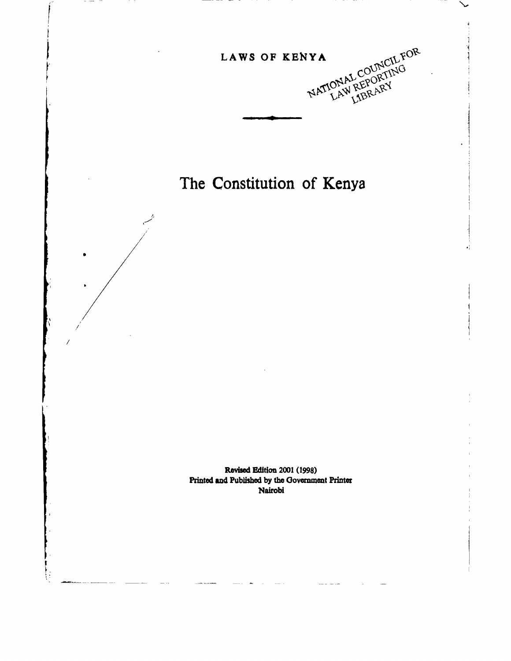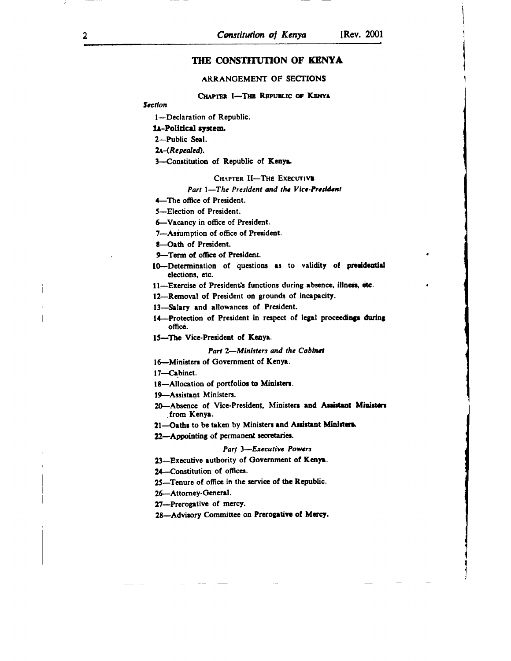# THE CONSTITUTION OF KENYA

### ARRANGEMENT OF SECTIONS

### CHAPTER I-THE REPUBLIC OF KENYA

**Section** 

1-Declaration of Republic.

### 1A-Political system.

2-Public Seal.

2A-(Repealed).

3-Constitution of Republic of Kenya.

#### CHAPTER II-THE EXECUTIVE

#### Part 1-The President and the Vice-President

4-The office of President.

5-Election of President.

6-Vacancy in office of President.

7-Assumption of office of President.

8-Oath of President.

9-Term of office of President.

10-Determination of questions as to validity of presidential elections, etc.

11-Exercise of President's functions during absence, illness, etc.

12-Removal of President on grounds of incapacity.

13-Salary and allowances of President.

14-Protection of President in respect of legal proceedings during office.

15-The Vice-President of Kenya.

#### Part 2-Ministers and the Cabinet

16-Ministers of Government of Kenya.

17-Cabinet.

18-Allocation of portfolios to Ministers.

19-Assistant Ministers.

20-Absence of Vice-President, Ministers and Assistant Ministers from Kenya.

21-Oaths to be taken by Ministers and Assistant Ministera

22-Appointing of permanent secretaries.

#### Part 3-Executive Powers

23-Executive authority of Government of Kenya.

24-Constitution of offices.

25-Tenure of office in the service of the Republic.

26-Attorney-General.

27-Prerogative of mercy.

28-Advisory Committee on Prerogative of Mercy.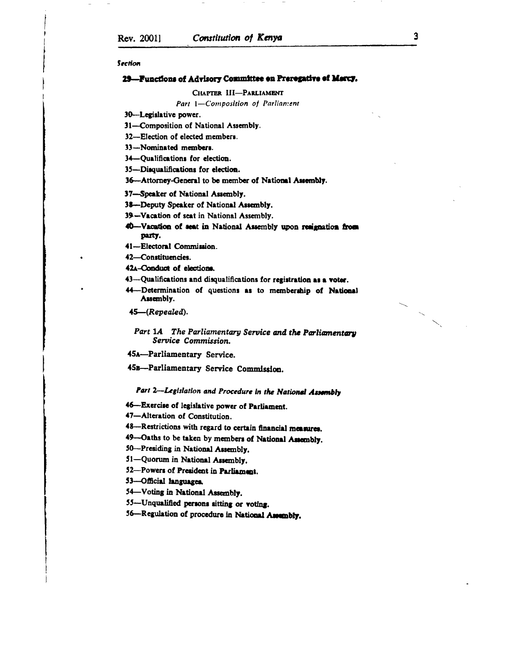3

#### Section

### 29-Functions of Advisory Committee on Prerogative of Marcy.

#### CHAPTER III-PARLIAMENT

Part 1-Composition of Parliament

30-Legislative power.

31-Composition of National Assembly.

32-Election of elected members.

33-Nominated members.

34-Qualifications for election.

35-Disqualifications for election.

36-Attorney-General to be member of National Assembly.

37-Speaker of National Assembly.

38-Deputy Speaker of National Assembly.

39-Vacation of seat in National Assembly.

40-Vacation of seat in National Assembly upon resignation from party.

41-Electoral Commission.

42-Constituencies.

42A-Conduct of elections.

43-Qualifications and disqualifications for registration as a voter.

44--Determination of questions as to membership of National Assembly.

45-(Repealed).

Part 1A The Parliamentary Service and the Parliamentary Service Commission.

45A-Parliamentary Service.

45B-Parliamentary Service Commission.

Part 2-Legislation and Procedure in the National Assembly

46 -- Exercise of legislative power of Parliament.

47-Alteration of Constitution.

48-Restrictions with regard to certain financial measures.

49-Oaths to be taken by members of National Assembly.

50-Presiding in National Assembly.

51-Quorum in National Assembly.

52-Powers of President in Parliament.

53-Official languages.

54-Voting in National Assembly.

55-Unqualified persons sitting or voting.

56-Regulation of procedure in National Assembly.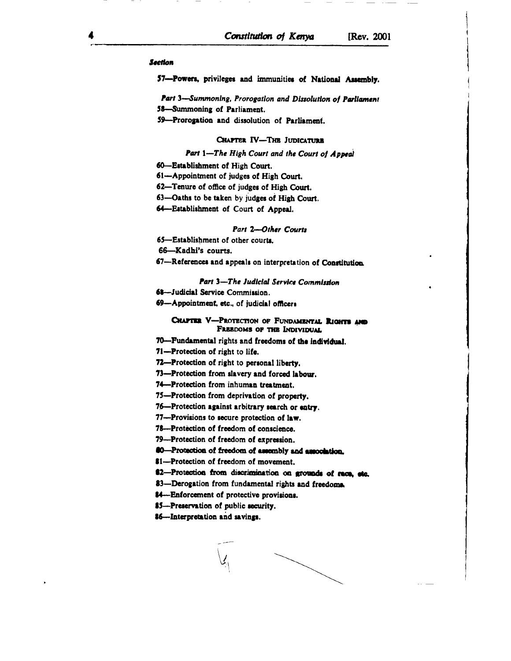#### **Section**

57-Powers, privileges and immunities of National Assembly.

Part 3-Summoning, Prorogation and Dissolution of Parliament

58-Summoning of Parliament.

59-Prorogation and dissolution of Parliament.

### CHAPTER IV-THE JUDICATURE

# Part 1-The High Court and the Court of Appeal

60-Establishment of High Court.

- 61-Appointment of judges of High Court.
- 62-Tenure of office of judges of High Court.
- 63-Oaths to be taken by judges of High Court.
- 64-Establishment of Court of Appeal.

#### Part 2-Other Courts

65-Establishment of other courts.

66-Kadhi's courts.

67-References and appeals on interpretation of Constitution.

### Part 3-The Judicial Service Commission

- 68-Judicial Service Commission.
- 69-Appointment, etc., of judicial officers

## CHAPTER V-PROTECTION OF FUNDAMENTAL RIGHTS AND FREEDOMS OF THE INDIVIDUAL

70-Fundamental rights and freedoms of the individual.

71-Protection of right to life.

72-Protection of right to personal liberty.

73-Protection from slavery and forced labour.

74-Protection from inhuman treatment.

75-Protection from deprivation of property.

76-Protection against arbitrary search or entry.

77---Provisions to secure protection of law.

78-Protection of freedom of conscience.

79-Protection of freedom of expression.

60-Protection of freedom of assembly and association.

\$1-Protection of freedom of movement.

62-Protection from discrimination on grounds of race, etc.

83-Derogation from fundamental rights and freedoms.

84—Enforcement of protective provisions.

85-Preservation of public security.

86-Interpretation and savings.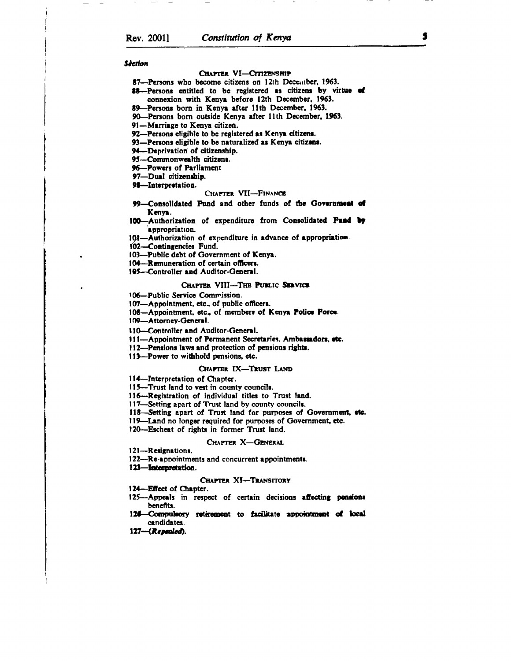#### **Séction**

#### CHAPTER VI-CITIZENSHIP

87—Persons who become citizens on 12th December, 1963.

- 88--Persons entitled to be registered as citizens by virtue of connexion with Kenya before 12th December, 1963.
- 89-Persons born in Kenya after 11th December, 1963.
- 90-Persons born outside Kenya after 11th December, 1963.
- 91-Marriage to Kenya citizen.
- 92-Persons eligible to be registered as Kenya citizens.
- 93-Persons eligible to be naturalized as Kenya citizens.
- 94-Deprivation of citizenship.
- 95-Commonwealth citizens.
- 96-Powers of Parliament
- 97-Dual citizenship.
- 98-Interpretation.

#### CHAPTER VII-FINANCE

- -Consolidated Fund and other funds of the Government of 99-Kenva.
- 100-Authorization of expenditure from Consolidated Fund by appropriation.
- 101-Authorization of expenditure in advance of appropriation.
- 102-Contingencies Fund.
- 103-Public debt of Government of Kenya.
- 104-Remuneration of certain officers.
- 195-Controller and Auditor-General.

#### CHAPTER VIII-THE PUBLIC SERVICE

- 106-Public Service Commission.
- 107-Appointment, etc., of public officers.
- 108-Appointment, etc., of members of Kenya Police Force.
- 109-Attorney-General.
- 110-Controller and Auditor-General.
- 111-Appointment of Permanent Secretaries. Ambassadors, etc.
- 112-Pensions laws and protection of pensions rights.
- 113--Power to withhold pensions, etc.

#### CHAPTER IX-TRUST LAND

- 114-Interpretation of Chapter.
- 115—Trust land to vest in county councils.
- 116-Registration of individual titles to Trust land.
- 117-Setting apart of Trust land by county councils.
- 118-Setting apart of Trust land for purposes of Government, etc.
- 119—Land no longer required for purposes of Government, etc.
- 120—Escheat of rights in former Trust land.

#### CHAPTER X-GENERAL

- 121-Resignations.
- 122-Re-appointments and concurrent appointments.
- 123-Interpretation.

#### **CHAPTER XI-TRANSITORY**

- 124-Effect of Chapter.
- 125-Appeals in respect of certain decisions affecting pensions benefits.
- 126-Compulsory retirement to facilitate appointment of local candidates.
- $127 (Repeated).$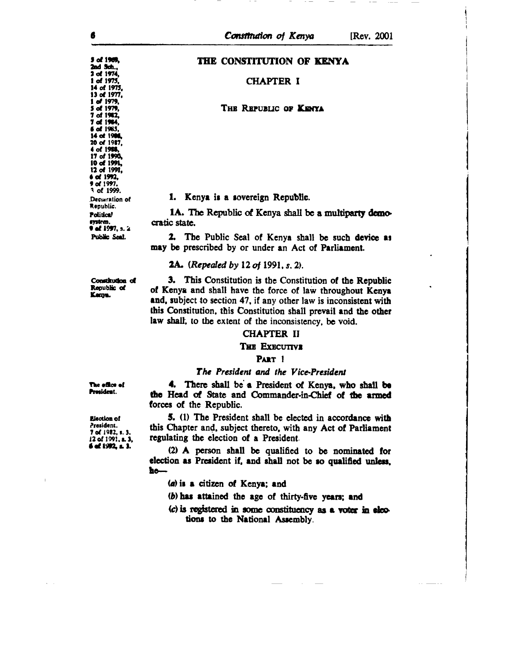# THE CONSTITUTION OF KENYA

### **CHAPTER I**

### THE REPUBLIC OF KENYA

### 1. Kenya is a sovereign Republic.

1A. The Republic of Kenya shall be a multiparty democratic state.

2. The Public Seal of Kenya shall be such device as may be prescribed by or under an Act of Parliament.

### **2A.** (*Repealed by 12 of 1991, s. 2*).

Constitution of Republic of Kenya.

3. This Constitution is the Constitution of the Republic of Kenya and shall have the force of law throughout Kenya and, subject to section 47, if any other law is inconsistent with this Constitution, this Constitution shall prevail and the other law shall, to the extent of the inconsistency, be void.

## **CHAPTER II**

### THE EXECUTIVE

### PART 1

### The President and the Vice-President

The office of President.

Election of President. 7 of 1982, s. 3. 12 of 1991, a. 3. 6 of 1992, s. 3.

4. There shall be a President of Kenya, who shall be the Head of State and Commander-in-Chief of the armed forces of the Republic.

5. (1) The President shall be elected in accordance with this Chapter and, subject thereto, with any Act of Parliament regulating the election of a President.

(2) A person shall be qualified to be nominated for election as President if, and shall not be so qualified unless,  $h$ o—

(a) is a citizen of Kenya; and

- (b) has attained the age of thirty-five years; and
- (c) is registered in some constituency as a voter in elections to the National Assembly.

5 of 1969,

2nd Sch., 2 of 1974, 1 of 1975, 14 of 1975, 13 of 1977, 1 of 1979, 5 of 1979. 7 of 1982, 7 of 1984. 6 of 1985, 14 of 1986 20 of 1987, 4 of 1988, 17 of 1990, 10 of 1991, 12 of 1991, 6 of 1992.  $9$  of  $1997$ . 3 of 1999. Deciaration of Republic. **Political** system. 0 of 1997, s. 2 Public Seal.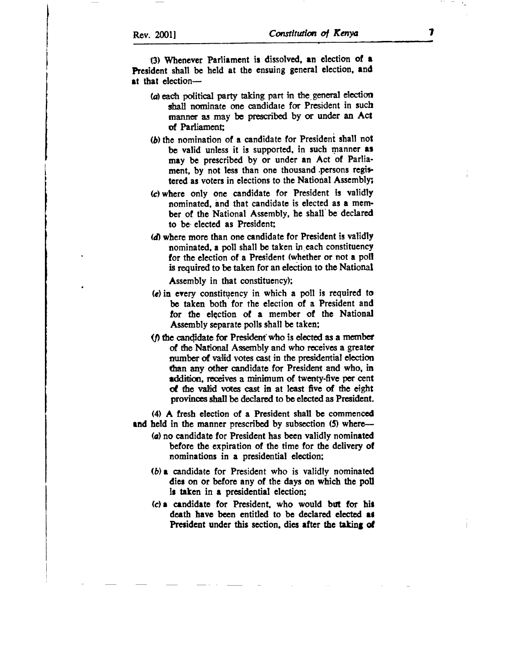(3) Whenever Parliament is dissolved, an election of a President shall be held at the ensuing general election, and  $at$  that election--

- (a) each political party taking part in the general election shall nominate one candidate for President in such manner as may be prescribed by or under an Act of Parliament;
- $(b)$  the nomination of a candidate for President shall not be valid unless it is supported, in such manner as may be prescribed by or under an Act of Parliament, by not less than one thousand persons registered as voters in elections to the National Assembly;
- (c) wherc only onc candidate for President is validly nominated, and that candidate is elected as a member of the National Assembly, he shall'be declared to be elected as President;
- (d) where more than one candidate for President is validly nominated, a poll shall be taken in each constituency for the election of a President (whether or not a poll is required to be taken for an election to the National

Assembly in that constituency);

- (c) in every constitqency in which a poll is required to be taken both for the election of a President and for the election of a member of the National Assembly separate polls shall be taken;
- ( $\theta$ ) the candidate for President' who is elected as a member of the National Assembly and who receives a greater number of valid votes cast in the presidential election than any other candidate for President and who, in addittion, receives a minimum of twenty-five per cent of the valid votes cast in at least five of the eight provinces shall be declared to be elected as President.

(4) A fresh election of a President shall be commenced and held in the manner prescribed by subsection (5) where-

- (a) no candidatc for President has been validly nominated before the expiration of the time for the delivery ot nominations in a presidential election;
- $(b)$  a candidate for President who is validly nominated dies on or before any of the days on which the poll is taken in a presidential election;
- (c) e cendidete for Prcsidcnt, who would but lor hir death have been entitled to be declared elected as President under this section, dies after the taking of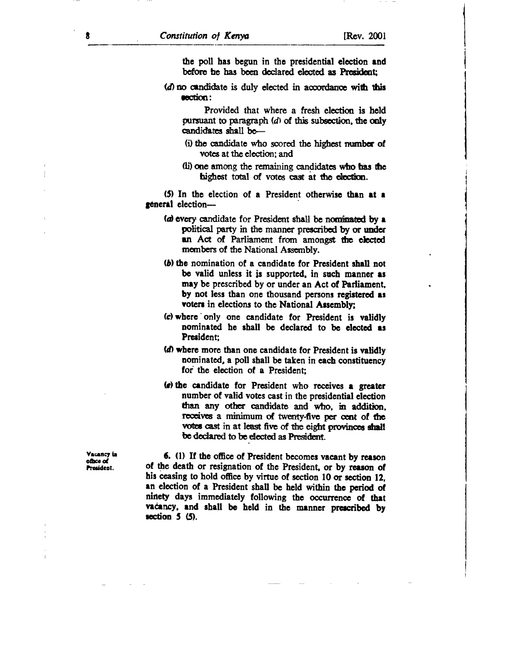the poll has begun in the presidential election and before he has been declared elected as President:

(d) no candidate is duly elected in accordance with this section:

Provided that where a fresh election is held pursuant to paragraph  $(d)$  of this subsection, the only candidates shall be-

- (i) the candidate who scored the highest number of votes at the election: and
- (ii) one among the remaining candidates who has the highest total of votes cast at the election.

(5) In the election of a President otherwise than at a general election-

- (a) every candidate for President shall be nominated by a political party in the manner prescribed by or under an Act of Parliament from amongst the elected members of the National Assembly.
- (b) the nomination of a candidate for President shall not be valid unless it is supported, in such manner as may be prescribed by or under an Act of Parliament. by not less than one thousand persons registered as voters in elections to the National Assembly;
- (c) where only one candidate for President is validly nominated he shall be declared to be elected as President:
- (d) where more than one candidate for President is validly nominated, a poll shall be taken in each constituency for the election of a President:
- (e) the candidate for President who receives a greater number of valid votes cast in the presidential election than any other candidate and who, in addition, receives a minimum of twenty-five per cent of the votes cast in at least five of the eight provinces shall be declared to be elected as President.

Vacancy in office of 

6. (1) If the office of President becomes vacant by reason of the death or resignation of the President, or by reason of his ceasing to hold office by virtue of section 10 or section 12. an election of a President shall be held within the period of ninety days immediately following the occurrence of that vacancy, and shall be held in the manner prescribed by section  $5(5)$ .

R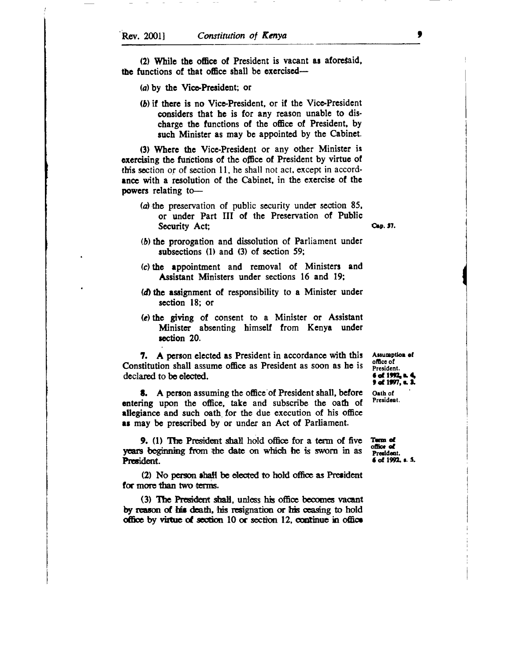(2) While the office of President is vacant as aforesaid, the functions of that office shall be exercised—

- (a) by the Vice-President; or
- (b) if there is no Vice-President, or if the Vice-President considers that he is for any reason unable to dischargc the functions of thc office of President, by such Minister as may be appointed by the Cabinet.

(3) Whcre the Vicc-President or any other Minister is oxercising the functions of the office of President by virtue of this section or of section 11, he shall not act, except in accordance with a resolution of the Cabinet, in the exercise of the powers relating to-

 $(a)$  the preservation of public security under section 85, or under Part III of the Prcservation of Public Security Act; Cap. 37.

- (b) the prorogation and dissolution of Parliament under subsections  $(1)$  and  $(3)$  of section 59;
- (c) thc rppointmcnt and removal of Ministers and Assistant Ministers under sections 16 and 19;
- (d) the assignment of responsibility to a Minister under section 18; or
- (a) thc grving of consent to a Minister or Assistant Minister absenting himself from Kenya under section 20.

7. A person clccted as President in accordancc with this Constitution shall assumc officc as President as soon as he is declared to be elected.

**8.** A person assuming the office of President shall, before entering upon the office, take and subscribe the oath of allegiance and such oath for the due execution of his office as may be prescribed by or under an Act of Parliament.

9. (1) The President shall hold office for a term of five years beginning from the date on which he is sworn in as President.

(2) No person shall be elected to hold office as President for more than two terms.

(3) The President shall, unless his office becomes vacant by reason of his death, his resignation or his ceasing to hold office by virtue of section  $10$  or section  $12$ , continue in office

Assumption of office of President.<br>6 of 1992. 9 of 1997, c. 3.

Orth of Presidont.

Term of office of<br>President. 6 of 1992, s. 5.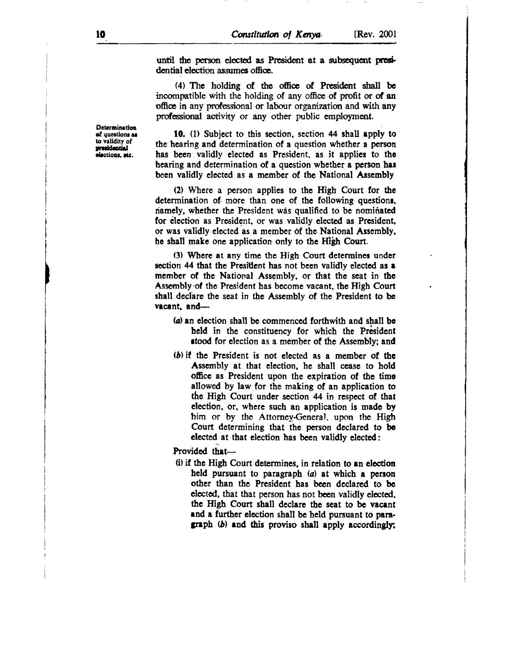until the person elected as President at a subsequent presidential election assumes office.

(4) The holding of the office of President shall be inoompatible with the holding of any offie of profit or of an office in any professional or labour organization and with any professional activity or any other public employment.

10. (1) Subject to this section, section 44 shall apply to the hearing and determination of a question whether a person has been validly elected as President, as it applies to the hearing and determination of a question whether a person has been validly elected as a member of the National Assembly

(2) Whcrc a pcrson applies to the High Court for thc determination of more than one of the following questions, riamely, whether the President wis qualified to be nominated for election as President, or was validly elected as President, or was validly elected as a member df the National Assembly. he shall make one application only to the High Court.

(3) Where at any timc the High Court determines under section 44 that the President has not been validly elected as a member of the National Assembly, or that the seat in the Assembly'of the President has become vacant, the High Court shall declare the seat in the Assembly of the President to be vacant, and- $-$ 

- (a) an election shall be commenced forthwith and shall be held in the constituency for which the President stood for election as a member of the Assembly; and
- (b) if the President is not elected as a member of the Assembly at that election, hc shall cease to hold officc as President upon the expiration of the timo allowed by law for the making of an application to thc High Court under section 44 in rcspect of that election, or, where such an application is madc by him or by the Attorney-General, upon the High Court determining that the person declared to be clected at that clection has been validly elccted:

Provided that-

(i) if the High Court determines, in relation to an election held pursuant to paragraph  $(a)$  at which a person other than the President has been declared to be elected, that that person has not been validly elected. the High Court shall declare the seat to be vacant and a further election shall be held pursuant to paragraph  $(b)$  and this proviso shall apply accordingly;

Determination of questions as to validity of<br>presidential elections, etc.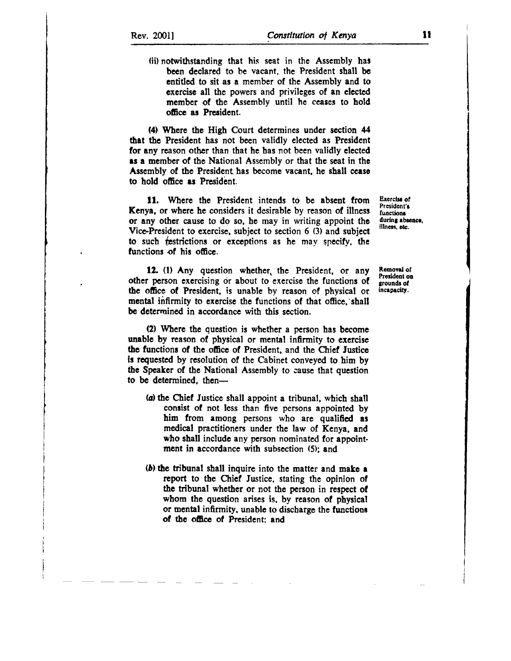(ii) notwithstanding that his seat in thc Asscmbly har been declared to be vacant, the President shall be entitled to sit as a member of thc Assembly and to exercise all the powers and privileges of an elected member of the Assembly until he ceases to hold oficc as President.

(4) Where the High Court determincs under scction 44 that the President has not been validly elected as President for any reason other than that he has not been validly elected as a member of the National Assembly or that the seat in the Assembly of the President has become vacant, he shall cease to hold office as President.

11. Where the President intends to be absent from Kenya. or where he considers it desirable by reason of illnesr or any other cause to do so. he may in writing appoint thc Vice-President to exercise, subject to section 6 (3) and subject to such {pstrictions or exceptions es he may gpecify. the functions of his office.

12. (1) Any question whether, the President, or any other person exercising or about to exercise the functions of thc ofice of President. is unable by reason of physical or mental infirmity to exercise the functions of that office, shall be determined in accordance with this section.

(2) Wherc thc question is whether a person has become unablc by reason of physical or mental infirmity to cxercise the functions of the office of President, and the Chief Justice is requested by resolution of the Cabinet conveyed to him by tbe Speaker of the National Assembly to cause that question to be determined, then-

- (a) thc Chicf Justicc shall appoint a tribunal, which shall consist of not less than five persons appointed by him from among persons who are qualified as medical practitioners under the law of Kenya, and who shall include any person nominated for appointment in accordance with subsection (5); and
- (b) the tribunal shall inquire into the matter and make a report to the Chief Justice, stating the opinion of the tribunal whether or not the person in respect of whom the question arises is, by reason of physical or mental infirmity, unable to discharge the functions of the office of President: and

Exercise of President's functions. during absence, illness, otc.

Removal of President on grounds of incapacity.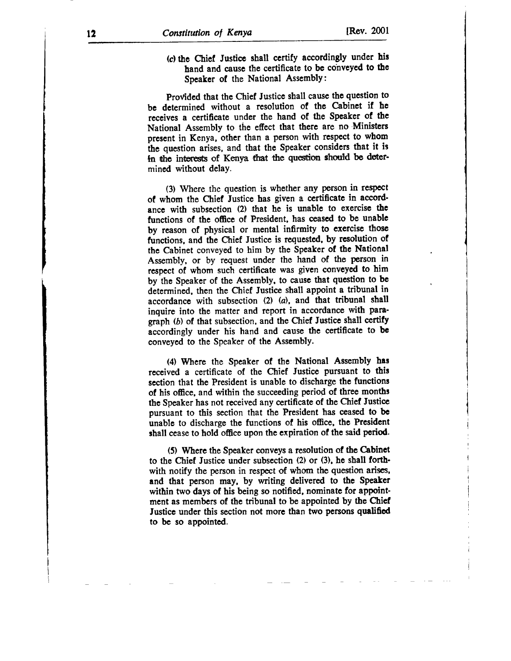(c) the Chiel Justicc shall certify accordingly under his hand and cause the certificate to be cohveyed to the Speaker of the National AssemblY:

Provided that the Chief Justice shall cause the question to be dctermined without a resolution of the Cabinet if hc receives a certificate under the hand of the Speaker of the National Assembly to the effect that therc are no Ministers prcsent in Kenya, other than a person with respect to whom the question arises, and that the Speaker considers that it is In the interests of Kenya that the question should be determined without delay.

(3) Where the question is whether any person in respect of whom the Chief Justice has given a certificate in accordance with subsection (2) that he is unable to exercise thc functions of the office of President, has ceased to be unable by reason of physical or mental infirmity to exercisc thosc functions, and the Chief Justice is requested, by resolution of thc Cabinet conveyed to him by the Speaker of the National Assembly, or by request under the hand of the person in respect of whom such certificate was given conveyed to him by the Speaker of the Assembly. to cause that qucstion to be determined, then the Chief Justice shall appoint a tribunal in accordance with subsection (2) (a), and that tribunal shall inquire into the matter and report in accordance with para' graph (b) of that subsection, and the Chief Justice shall certify accordingly under his hand and cause the certificate to be conveyed to the Speaker of the Assembly.

(4) Where the Speaker of the National Assembly has received a certificate of the Chief Justice pursuant to this section that the President is unable to discharge the functions of his office. and within the succeeding period of three months the Speaker has not received any certificate of the Chief Justicc pursuant to this section that the President has ceased to be unable to discharge the functions of his office, the President shall cease to hold office upon the expiration of the said period.

(5) Where the Speaker conveys a resolution of the Cabinet to the Chief Justice under subscction (2) or (3), hc shall forth' with notify the person in respect of whom the question arises, and that person may, by writing delivered to the Speaker within two days of his being so notified, nominate for appointment as members of the tribunal to be appointed by the Chief Justice under this section not more than two persons qualified to be so appointed.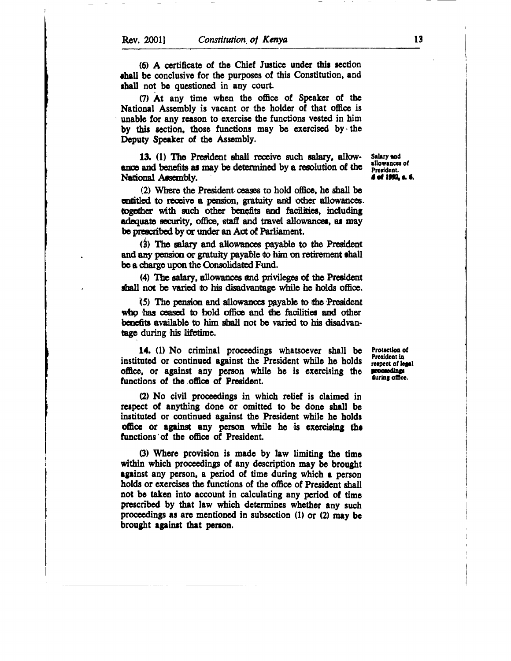(6) A certificate of the Chief Justice under this section shall be conclusive for the purposes of this Constitution, and shall not be questioned in any court.

(7) At any time when the office of Speaker of the National Assembly is vacant or the holder of that office is unable for any reason to exercise the functions vested in him by this section, those functions may be exercised by the Deputy Speaker of the Assembly.

13. (1) The President shall receive such salary, allowance and benefits as may be determined by a resolution of the National Assembly.

(2) Where the President ceases to hold office, he shall be entitled to receive a pension, gratuity and other allowances. together with such other benefits and facilities, including adequate security, office, staff and travel allowances, as may be prescribed by or under an Act of Parliament.

(3) The salary and allowances payable to the President and any pension or gratuity payable to him on retirement shall be a charge upon the Consolidated Fund.

(4) The salary, allowances and privileges of the President shall not be varied to his disadvantage while he holds office.

(5) The pension and allowances payable to the President who has ceased to hold office and the facilities and other benefits available to him shall not be varied to his disadvantage during his lifetime.

**14.** (1) No criminal proceedings whatsoever shall be instituted or continued against the President while he holds office, or against any person while he is exercising the functions of the office of President.

(2) No civil proceedings in which relief is claimed in respect of anything done or omitted to be done shall be instituted or continued against the President while he holds office or against any person while he is exercising the functions of the office of President.

(3) Where provision is made by law limiting the time within which proceedings of any description may be brought against any person, a period of time during which a person holds or exercises the functions of the office of President shall not be taken into account in calculating any period of time prescribed by that law which determines whether any such proceedings as are mentioned in subsection (1) or (2) may be brought against that person.

Salary and allowances of President. 6 of 1992. a. 6.

Protection of President in respect of legal proceedings during office.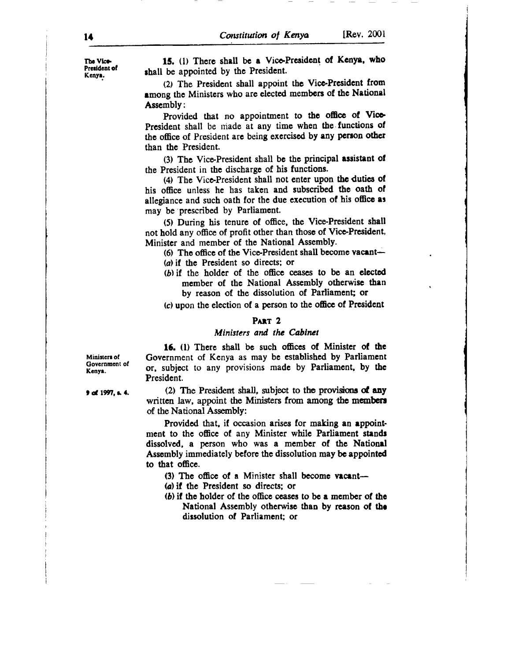14 Constitution of Kenya [Rev. 2001

15. (1) There shall be a Vice-President of Kenya, who shall be appointed by the President.

(2) The President shall appoint the Vice-President from among the Ministers who are elected members of the National Asscmbly:

Provided that no appointment to the office of Vice-President shall be made at any time when the functions of the office of President are being exercised by any person other than thc President.

(3) The Vice-President shall be the principal assistant of the President in the dischargc of his functions.

(4) The Vice-President shall not enter upon the duties of his office unless he has taken and subscribed the oath of allegiance and such oath for the due execution of his office as may be prescribed by Parliament.

(5) During his tenure of office, the Vice'President shall not hold any office of profit other than those of Vice-President, Minister and member of the National Assembly.

(6) The office of the Vice-President shall become vacant-(a) if the President so directs; or

 $(b)$  if the holder of the office ceases to be an elected member of the National Assembly otherwise than by rcason of the dissolution of Parliament; or

(c) upon the election of a person to the officc of President

### PART<sub>2</sub>

### Ministers and the Cabinet

Ministers of Government of Kcnyt.

16. (1) There shall be such offices of Minister of the Government of Kenya as may be established by Parliament or, subject to any provisions madc by Parliamcnt, by thc President.

(2) The President shall, subject to the provisions of any written law, appoint the Ministers from among the members of the National Assernbly:

Providcd that, if occasion arises for making an eppointment to the office of any Minister while Parliament stands dissolved, a person who was a member of the National Assembly immediately before the dissolution may be appointed to that office.

(3) The office of a Minister shall become vacant--

(a) if the President so directs: or

 $(b)$  if the holder of the office ceases to be a member of the National Assembly otherwise than by reason of the dissolution of Parliament; or

9 of 1997, s. 4.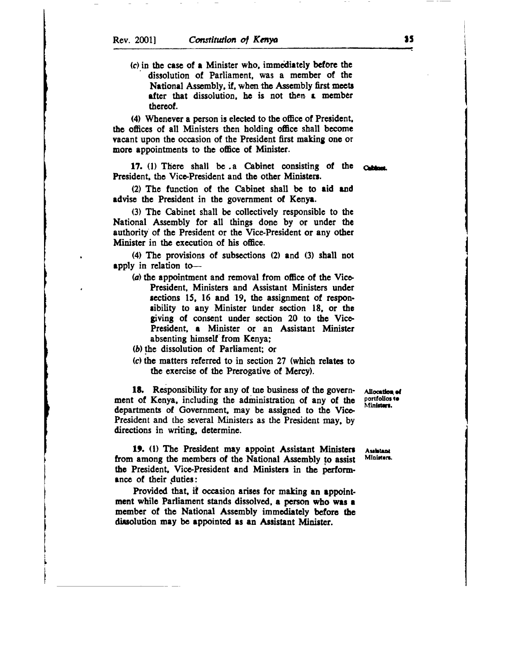(c) in the case of a Minister who, immediately before the dissolution of Parliament, was a member of the National Assembly, if, when the Assembly first meets after that dissolution, he is not then a member thcrcof.

(4) Whenever a person is elected to the office of President. the offices of all Ministers then holding office shall become vacant upon the occasion of the President first making one or more appointments to the office of Minister.

17. (1) There shall be a Cabinet consisting of the President, the Vice-President and the other Ministers.

(2) The function of the Cabinet shall be to aid and advise the President in the government of Kenya.

(3) The Cabinet shall be collectively rcsponsiblc to thc National Assembly for all things done by or under the authority of thc President or the Vice-President or any othcr Minister in thc execution of his office.

(4) The provisions of subsections  $(2)$  and  $(3)$  shall not apply in relation to-

- (a) the appointment and removal from office of the Vice-President, Ministers and Assistant Ministers under sections 15, 16 and 19, the assignment of responsibility to any Minister under section 18, or the giving of consent under section 20 to the Vice-President, a Minister or an Assistant Minister absenting himself from Kenya;
- (b) the dissolution of Parliament; or
- (c) the matters referred to in section 27 (which relates to the exercise of the Prerogative of Mercy).

18. Responsibility for any of the business of the government of Kenya, including the administration of any of the departments of Government, may be assigned to the Vice-President and the scveral Ministers as the President may, by directions in writing, determine.

19. (1) The President may appoint Assistant Ministers Asshetant approach a members of the National Assembly to againt Ministers. from among the members of the National Assembly to assist the President. Vice-President and Ministers in the performance of their duties:

Provided that, if occasion arises for making an appointment while Parliament stands dissolved, a person who was a member of the National Assembly immediately before the dissolution may be appointed as an Assistant Minister.

Allocation of portfolios to Ministers.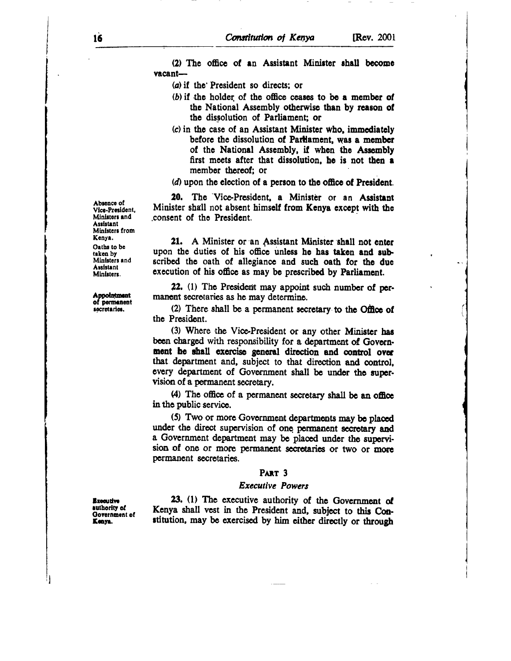(2) The office of an Assistant Minister shall become  $vacant$ 

(a) if the President so directs; or

- (b) if the holder of the office ceases to be a member of the National Assembly otherwise than by reason of the dissolution of Parliament; or
- (c) in the case of an Assistant Minister who, immediately before the dissolution of Parliament, was a member of the National Assembly, if when the Assembly first meets after that dissolution, he is not then a member thereof; or
- (d) upon the election of a person to the office of President.

20. The Vice-President, a Minister or an Assistant Minister shall not absent himself from Kenya except with the consent of the President.

21. A Minister or an Assistant Minister shall not enter upon the duties of his office unless he has taken and subscribed the oath of allegiance and such oath for the due execution of his office as may be prescribed by Parliament.

22. (1) The President may appoint such number of permanent secretaries as he may determine.

(2) There shall be a permanent secretary to the Office of the President.

(3) Where the Vice-President or any other Minister has been charged with responsibility for a department of Government he shall exercise general direction and control over that department and, subject to that direction and control, every department of Government shall be under the supervision of a permanent secretary.

(4) The office of a permanent secretary shall be an office in the public service.

(5) Two or more Government departments may be placed under the direct supervision of one permanent secretary and a Government department may be placed under the supervision of one or more permanent secretaries or two or more permanent secretaries.

# PART<sub>3</sub>

### **Executive Powers**

**Executive** authority of Government of Kenya.

23. (1) The executive authority of the Government of Kenya shall vest in the President and, subject to this Constitution, may be exercised by him either directly or through

Absence of Vice-President, Ministers and **Accietant** Ministers from Kenya. Oaths to be taken by Ministers and **Assistant** Ministers.

Appointment

of permanent

secretaries.

16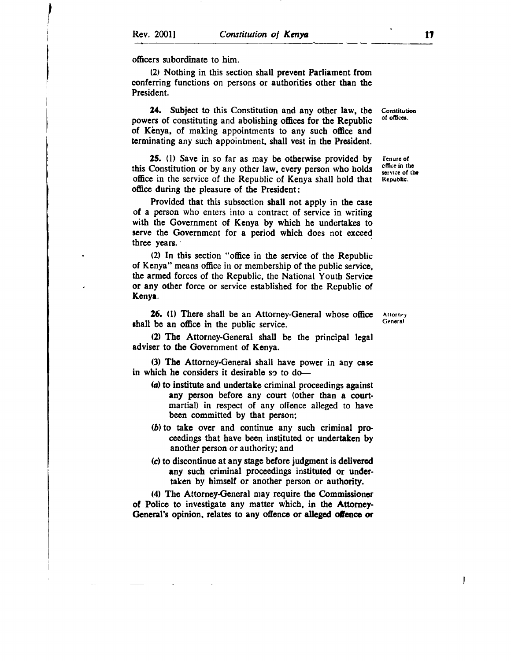officers subordinate to him.

(2) Nothing in this section shall prcvcnt Parliement from conferring functions on persons or authorities other than the President.

24. Subject to this Constitution and any other law, thc powers of constituting and abolishing offices for the Republic of Kenya, of making appointments to any such office and terminating any such appointment, shall vest in the President.

25. (l) Savc in so far as may bc othcrwise provided by this Constitution or by any other law, every person who holds officc in the service of the Republic of Kenya shall hold that officc during the pleasure of the President:

Provided that this subsection shall not apply in the case of a person who enters into a contract of service in writing with the Government of Kenya by which he undertakes to serve the Government for a period which does not exceed threc years.

(2) In tbis section "officc in thc scrvice of the Republic of Kenya" means office in or membership of the public service, the armed forces of the Republic, the National Youth Servicc or any other force or service established for the Republic of Kcnyr.

26. (1) There shall be an Attorney-General whose office shall be an office in the public service.

(2) The Attorney-General shall be the principal legal adviser to the Government of Kenya.

(3) Thc Attorney-General shall have power in any casc in which he considers it desirable so to do-

- (a) to institute and undertake criminal proceedings against any person before any court (other than a courtmartial) in respect of any offence alleged to have been committed by that person;
- $(b)$  to take over and continue any such criminal proceedings that have been instituted or undertaken by another person or authority; and
- (c) to discontinue at any stage before judgment is delivered any such criminal proceedings instituted or undertakcn by himsclf or another person or authority.

(4) The Attorncy-General may requirc thc Commissioncr of Police to investigate any matter which, in the Attorney-General's opinion, relates to any offence or alleged offence or

Attorne<sub>y</sub> General

ı

Constitution of offices.

fenurc ol cffice in thc scrvice of the Republic.